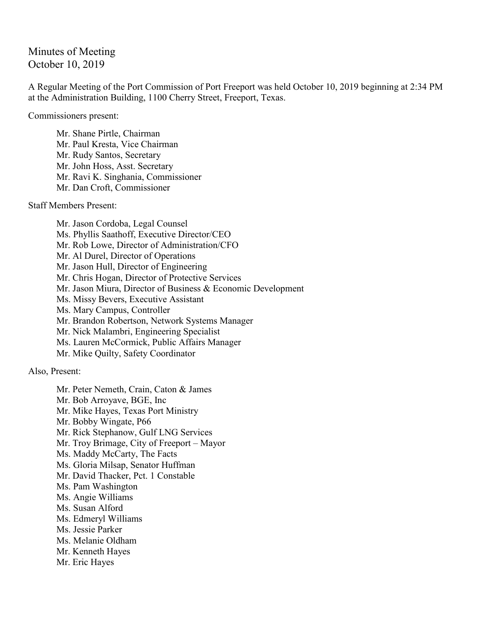## Minutes of Meeting October 10, 2019

A Regular Meeting of the Port Commission of Port Freeport was held October 10, 2019 beginning at 2:34 PM at the Administration Building, 1100 Cherry Street, Freeport, Texas.

Commissioners present:

Mr. Shane Pirtle, Chairman Mr. Paul Kresta, Vice Chairman Mr. Rudy Santos, Secretary Mr. John Hoss, Asst. Secretary Mr. Ravi K. Singhania, Commissioner Mr. Dan Croft, Commissioner

Staff Members Present:

Mr. Jason Cordoba, Legal Counsel Ms. Phyllis Saathoff, Executive Director/CEO Mr. Rob Lowe, Director of Administration/CFO Mr. Al Durel, Director of Operations Mr. Jason Hull, Director of Engineering Mr. Chris Hogan, Director of Protective Services Mr. Jason Miura, Director of Business & Economic Development Ms. Missy Bevers, Executive Assistant Ms. Mary Campus, Controller Mr. Brandon Robertson, Network Systems Manager Mr. Nick Malambri, Engineering Specialist Ms. Lauren McCormick, Public Affairs Manager Mr. Mike Quilty, Safety Coordinator

Also, Present:

Mr. Peter Nemeth, Crain, Caton & James Mr. Bob Arroyave, BGE, Inc Mr. Mike Hayes, Texas Port Ministry Mr. Bobby Wingate, P66 Mr. Rick Stephanow, Gulf LNG Services Mr. Troy Brimage, City of Freeport – Mayor Ms. Maddy McCarty, The Facts Ms. Gloria Milsap, Senator Huffman Mr. David Thacker, Pct. 1 Constable Ms. Pam Washington Ms. Angie Williams Ms. Susan Alford Ms. Edmeryl Williams Ms. Jessie Parker Ms. Melanie Oldham Mr. Kenneth Hayes Mr. Eric Hayes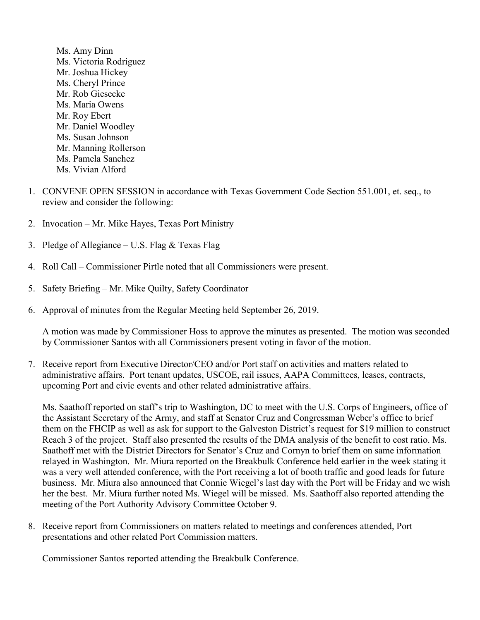- Ms. Amy Dinn Ms. Victoria Rodriguez Mr. Joshua Hickey Ms. Cheryl Prince Mr. Rob Giesecke Ms. Maria Owens Mr. Roy Ebert Mr. Daniel Woodley Ms. Susan Johnson Mr. Manning Rollerson Ms. Pamela Sanchez Ms. Vivian Alford
- 1. CONVENE OPEN SESSION in accordance with Texas Government Code Section 551.001, et. seq., to review and consider the following:
- 2. Invocation Mr. Mike Hayes, Texas Port Ministry
- 3. Pledge of Allegiance U.S. Flag & Texas Flag
- 4. Roll Call Commissioner Pirtle noted that all Commissioners were present.
- 5. Safety Briefing Mr. Mike Quilty, Safety Coordinator
- 6. Approval of minutes from the Regular Meeting held September 26, 2019.

A motion was made by Commissioner Hoss to approve the minutes as presented. The motion was seconded by Commissioner Santos with all Commissioners present voting in favor of the motion.

7. Receive report from Executive Director/CEO and/or Port staff on activities and matters related to administrative affairs. Port tenant updates, USCOE, rail issues, AAPA Committees, leases, contracts, upcoming Port and civic events and other related administrative affairs.

Ms. Saathoff reported on staff's trip to Washington, DC to meet with the U.S. Corps of Engineers, office of the Assistant Secretary of the Army, and staff at Senator Cruz and Congressman Weber's office to brief them on the FHCIP as well as ask for support to the Galveston District's request for \$19 million to construct Reach 3 of the project. Staff also presented the results of the DMA analysis of the benefit to cost ratio. Ms. Saathoff met with the District Directors for Senator's Cruz and Cornyn to brief them on same information relayed in Washington. Mr. Miura reported on the Breakbulk Conference held earlier in the week stating it was a very well attended conference, with the Port receiving a lot of booth traffic and good leads for future business. Mr. Miura also announced that Connie Wiegel's last day with the Port will be Friday and we wish her the best. Mr. Miura further noted Ms. Wiegel will be missed. Ms. Saathoff also reported attending the meeting of the Port Authority Advisory Committee October 9.

8. Receive report from Commissioners on matters related to meetings and conferences attended, Port presentations and other related Port Commission matters.

Commissioner Santos reported attending the Breakbulk Conference.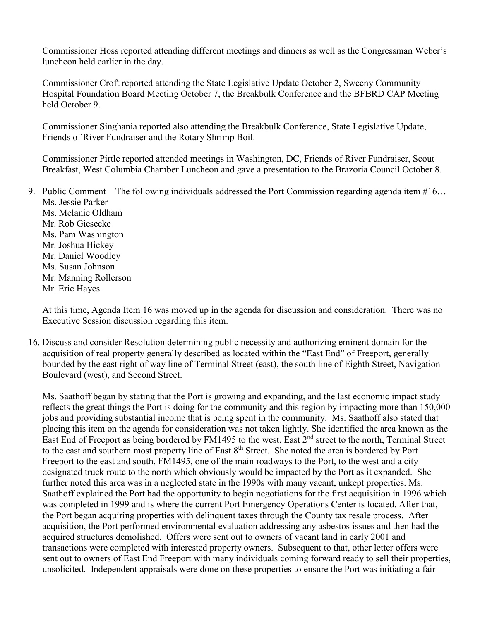Commissioner Hoss reported attending different meetings and dinners as well as the Congressman Weber's luncheon held earlier in the day.

Commissioner Croft reported attending the State Legislative Update October 2, Sweeny Community Hospital Foundation Board Meeting October 7, the Breakbulk Conference and the BFBRD CAP Meeting held October 9.

Commissioner Singhania reported also attending the Breakbulk Conference, State Legislative Update, Friends of River Fundraiser and the Rotary Shrimp Boil.

Commissioner Pirtle reported attended meetings in Washington, DC, Friends of River Fundraiser, Scout Breakfast, West Columbia Chamber Luncheon and gave a presentation to the Brazoria Council October 8.

9. Public Comment – The following individuals addressed the Port Commission regarding agenda item #16… Ms. Jessie Parker Ms. Melanie Oldham Mr. Rob Giesecke Ms. Pam Washington Mr. Joshua Hickey Mr. Daniel Woodley Ms. Susan Johnson Mr. Manning Rollerson Mr. Eric Hayes

At this time, Agenda Item 16 was moved up in the agenda for discussion and consideration. There was no Executive Session discussion regarding this item.

16. Discuss and consider Resolution determining public necessity and authorizing eminent domain for the acquisition of real property generally described as located within the "East End" of Freeport, generally bounded by the east right of way line of Terminal Street (east), the south line of Eighth Street, Navigation Boulevard (west), and Second Street.

Ms. Saathoff began by stating that the Port is growing and expanding, and the last economic impact study reflects the great things the Port is doing for the community and this region by impacting more than 150,000 jobs and providing substantial income that is being spent in the community. Ms. Saathoff also stated that placing this item on the agenda for consideration was not taken lightly. She identified the area known as the East End of Freeport as being bordered by FM1495 to the west, East 2<sup>nd</sup> street to the north, Terminal Street to the east and southern most property line of East 8<sup>th</sup> Street. She noted the area is bordered by Port Freeport to the east and south, FM1495, one of the main roadways to the Port, to the west and a city designated truck route to the north which obviously would be impacted by the Port as it expanded. She further noted this area was in a neglected state in the 1990s with many vacant, unkept properties. Ms. Saathoff explained the Port had the opportunity to begin negotiations for the first acquisition in 1996 which was completed in 1999 and is where the current Port Emergency Operations Center is located. After that, the Port began acquiring properties with delinquent taxes through the County tax resale process. After acquisition, the Port performed environmental evaluation addressing any asbestos issues and then had the acquired structures demolished. Offers were sent out to owners of vacant land in early 2001 and transactions were completed with interested property owners. Subsequent to that, other letter offers were sent out to owners of East End Freeport with many individuals coming forward ready to sell their properties, unsolicited. Independent appraisals were done on these properties to ensure the Port was initiating a fair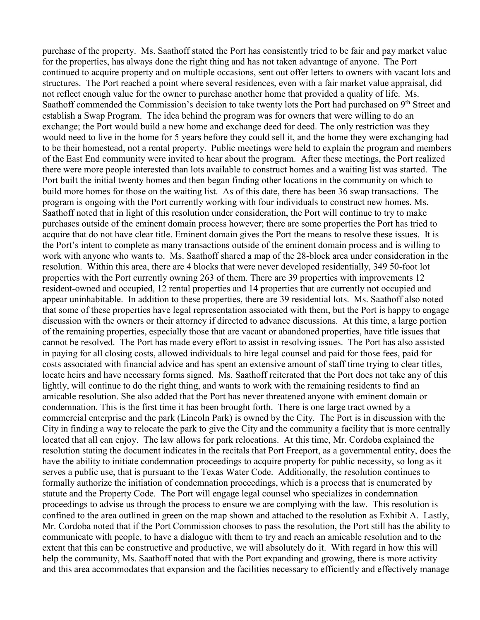purchase of the property. Ms. Saathoff stated the Port has consistently tried to be fair and pay market value for the properties, has always done the right thing and has not taken advantage of anyone. The Port continued to acquire property and on multiple occasions, sent out offer letters to owners with vacant lots and structures. The Port reached a point where several residences, even with a fair market value appraisal, did not reflect enough value for the owner to purchase another home that provided a quality of life. Ms. Saathoff commended the Commission's decision to take twenty lots the Port had purchased on 9<sup>th</sup> Street and establish a Swap Program. The idea behind the program was for owners that were willing to do an exchange; the Port would build a new home and exchange deed for deed. The only restriction was they would need to live in the home for 5 years before they could sell it, and the home they were exchanging had to be their homestead, not a rental property. Public meetings were held to explain the program and members of the East End community were invited to hear about the program. After these meetings, the Port realized there were more people interested than lots available to construct homes and a waiting list was started. The Port built the initial twenty homes and then began finding other locations in the community on which to build more homes for those on the waiting list. As of this date, there has been 36 swap transactions. The program is ongoing with the Port currently working with four individuals to construct new homes. Ms. Saathoff noted that in light of this resolution under consideration, the Port will continue to try to make purchases outside of the eminent domain process however; there are some properties the Port has tried to acquire that do not have clear title. Eminent domain gives the Port the means to resolve these issues. It is the Port's intent to complete as many transactions outside of the eminent domain process and is willing to work with anyone who wants to. Ms. Saathoff shared a map of the 28-block area under consideration in the resolution. Within this area, there are 4 blocks that were never developed residentially, 349 50-foot lot properties with the Port currently owning 263 of them. There are 39 properties with improvements 12 resident-owned and occupied, 12 rental properties and 14 properties that are currently not occupied and appear uninhabitable. In addition to these properties, there are 39 residential lots. Ms. Saathoff also noted that some of these properties have legal representation associated with them, but the Port is happy to engage discussion with the owners or their attorney if directed to advance discussions. At this time, a large portion of the remaining properties, especially those that are vacant or abandoned properties, have title issues that cannot be resolved. The Port has made every effort to assist in resolving issues. The Port has also assisted in paying for all closing costs, allowed individuals to hire legal counsel and paid for those fees, paid for costs associated with financial advice and has spent an extensive amount of staff time trying to clear titles, locate heirs and have necessary forms signed. Ms. Saathoff reiterated that the Port does not take any of this lightly, will continue to do the right thing, and wants to work with the remaining residents to find an amicable resolution. She also added that the Port has never threatened anyone with eminent domain or condemnation. This is the first time it has been brought forth. There is one large tract owned by a commercial enterprise and the park (Lincoln Park) is owned by the City. The Port is in discussion with the City in finding a way to relocate the park to give the City and the community a facility that is more centrally located that all can enjoy. The law allows for park relocations. At this time, Mr. Cordoba explained the resolution stating the document indicates in the recitals that Port Freeport, as a governmental entity, does the have the ability to initiate condemnation proceedings to acquire property for public necessity, so long as it serves a public use, that is pursuant to the Texas Water Code. Additionally, the resolution continues to formally authorize the initiation of condemnation proceedings, which is a process that is enumerated by statute and the Property Code. The Port will engage legal counsel who specializes in condemnation proceedings to advise us through the process to ensure we are complying with the law. This resolution is confined to the area outlined in green on the map shown and attached to the resolution as Exhibit A. Lastly, Mr. Cordoba noted that if the Port Commission chooses to pass the resolution, the Port still has the ability to communicate with people, to have a dialogue with them to try and reach an amicable resolution and to the extent that this can be constructive and productive, we will absolutely do it. With regard in how this will help the community, Ms. Saathoff noted that with the Port expanding and growing, there is more activity and this area accommodates that expansion and the facilities necessary to efficiently and effectively manage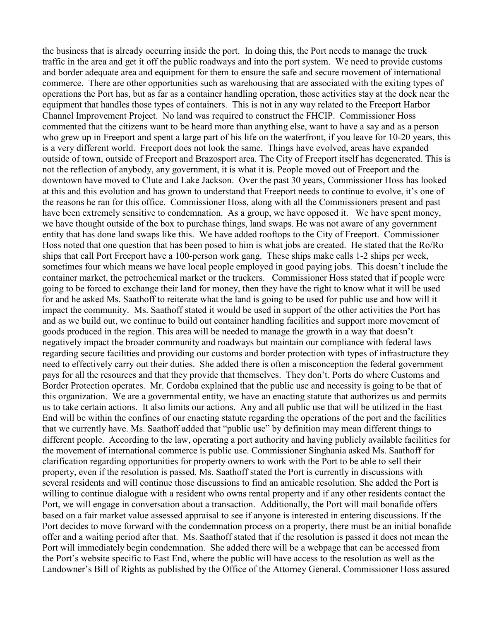the business that is already occurring inside the port. In doing this, the Port needs to manage the truck traffic in the area and get it off the public roadways and into the port system. We need to provide customs and border adequate area and equipment for them to ensure the safe and secure movement of international commerce. There are other opportunities such as warehousing that are associated with the exiting types of operations the Port has, but as far as a container handling operation, those activities stay at the dock near the equipment that handles those types of containers. This is not in any way related to the Freeport Harbor Channel Improvement Project. No land was required to construct the FHCIP. Commissioner Hoss commented that the citizens want to be heard more than anything else, want to have a say and as a person who grew up in Freeport and spent a large part of his life on the waterfront, if you leave for 10-20 years, this is a very different world. Freeport does not look the same. Things have evolved, areas have expanded outside of town, outside of Freeport and Brazosport area. The City of Freeport itself has degenerated. This is not the reflection of anybody, any government, it is what it is. People moved out of Freeport and the downtown have moved to Clute and Lake Jackson. Over the past 30 years, Commissioner Hoss has looked at this and this evolution and has grown to understand that Freeport needs to continue to evolve, it's one of the reasons he ran for this office. Commissioner Hoss, along with all the Commissioners present and past have been extremely sensitive to condemnation. As a group, we have opposed it. We have spent money, we have thought outside of the box to purchase things, land swaps. He was not aware of any government entity that has done land swaps like this. We have added rooftops to the City of Freeport. Commissioner Hoss noted that one question that has been posed to him is what jobs are created. He stated that the Ro/Ro ships that call Port Freeport have a 100-person work gang. These ships make calls 1-2 ships per week, sometimes four which means we have local people employed in good paying jobs. This doesn't include the container market, the petrochemical market or the truckers. Commissioner Hoss stated that if people were going to be forced to exchange their land for money, then they have the right to know what it will be used for and he asked Ms. Saathoff to reiterate what the land is going to be used for public use and how will it impact the community. Ms. Saathoff stated it would be used in support of the other activities the Port has and as we build out, we continue to build out container handling facilities and support more movement of goods produced in the region. This area will be needed to manage the growth in a way that doesn't negatively impact the broader community and roadways but maintain our compliance with federal laws regarding secure facilities and providing our customs and border protection with types of infrastructure they need to effectively carry out their duties. She added there is often a misconception the federal government pays for all the resources and that they provide that themselves. They don't. Ports do where Customs and Border Protection operates. Mr. Cordoba explained that the public use and necessity is going to be that of this organization. We are a governmental entity, we have an enacting statute that authorizes us and permits us to take certain actions. It also limits our actions. Any and all public use that will be utilized in the East End will be within the confines of our enacting statute regarding the operations of the port and the facilities that we currently have. Ms. Saathoff added that "public use" by definition may mean different things to different people. According to the law, operating a port authority and having publicly available facilities for the movement of international commerce is public use. Commissioner Singhania asked Ms. Saathoff for clarification regarding opportunities for property owners to work with the Port to be able to sell their property, even if the resolution is passed. Ms. Saathoff stated the Port is currently in discussions with several residents and will continue those discussions to find an amicable resolution. She added the Port is willing to continue dialogue with a resident who owns rental property and if any other residents contact the Port, we will engage in conversation about a transaction. Additionally, the Port will mail bonafide offers based on a fair market value assessed appraisal to see if anyone is interested in entering discussions. If the Port decides to move forward with the condemnation process on a property, there must be an initial bonafide offer and a waiting period after that. Ms. Saathoff stated that if the resolution is passed it does not mean the Port will immediately begin condemnation. She added there will be a webpage that can be accessed from the Port's website specific to East End, where the public will have access to the resolution as well as the Landowner's Bill of Rights as published by the Office of the Attorney General. Commissioner Hoss assured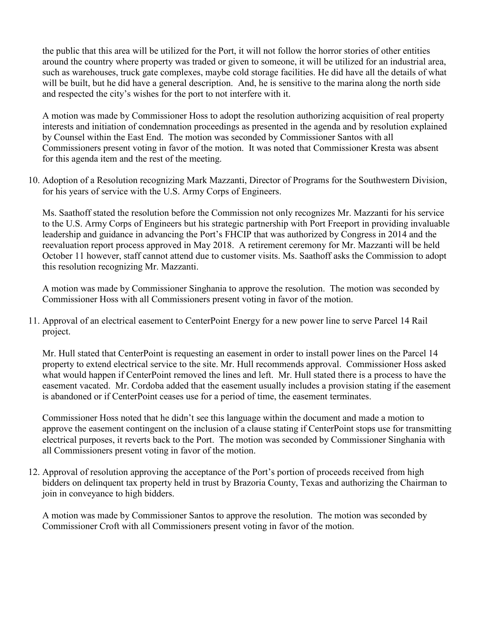the public that this area will be utilized for the Port, it will not follow the horror stories of other entities around the country where property was traded or given to someone, it will be utilized for an industrial area, such as warehouses, truck gate complexes, maybe cold storage facilities. He did have all the details of what will be built, but he did have a general description. And, he is sensitive to the marina along the north side and respected the city's wishes for the port to not interfere with it.

A motion was made by Commissioner Hoss to adopt the resolution authorizing acquisition of real property interests and initiation of condemnation proceedings as presented in the agenda and by resolution explained by Counsel within the East End. The motion was seconded by Commissioner Santos with all Commissioners present voting in favor of the motion. It was noted that Commissioner Kresta was absent for this agenda item and the rest of the meeting.

10. Adoption of a Resolution recognizing Mark Mazzanti, Director of Programs for the Southwestern Division, for his years of service with the U.S. Army Corps of Engineers.

Ms. Saathoff stated the resolution before the Commission not only recognizes Mr. Mazzanti for his service to the U.S. Army Corps of Engineers but his strategic partnership with Port Freeport in providing invaluable leadership and guidance in advancing the Port's FHCIP that was authorized by Congress in 2014 and the reevaluation report process approved in May 2018. A retirement ceremony for Mr. Mazzanti will be held October 11 however, staff cannot attend due to customer visits. Ms. Saathoff asks the Commission to adopt this resolution recognizing Mr. Mazzanti.

A motion was made by Commissioner Singhania to approve the resolution. The motion was seconded by Commissioner Hoss with all Commissioners present voting in favor of the motion.

11. Approval of an electrical easement to CenterPoint Energy for a new power line to serve Parcel 14 Rail project.

Mr. Hull stated that CenterPoint is requesting an easement in order to install power lines on the Parcel 14 property to extend electrical service to the site. Mr. Hull recommends approval. Commissioner Hoss asked what would happen if CenterPoint removed the lines and left. Mr. Hull stated there is a process to have the easement vacated. Mr. Cordoba added that the easement usually includes a provision stating if the easement is abandoned or if CenterPoint ceases use for a period of time, the easement terminates.

Commissioner Hoss noted that he didn't see this language within the document and made a motion to approve the easement contingent on the inclusion of a clause stating if CenterPoint stops use for transmitting electrical purposes, it reverts back to the Port. The motion was seconded by Commissioner Singhania with all Commissioners present voting in favor of the motion.

12. Approval of resolution approving the acceptance of the Port's portion of proceeds received from high bidders on delinquent tax property held in trust by Brazoria County, Texas and authorizing the Chairman to join in conveyance to high bidders.

A motion was made by Commissioner Santos to approve the resolution. The motion was seconded by Commissioner Croft with all Commissioners present voting in favor of the motion.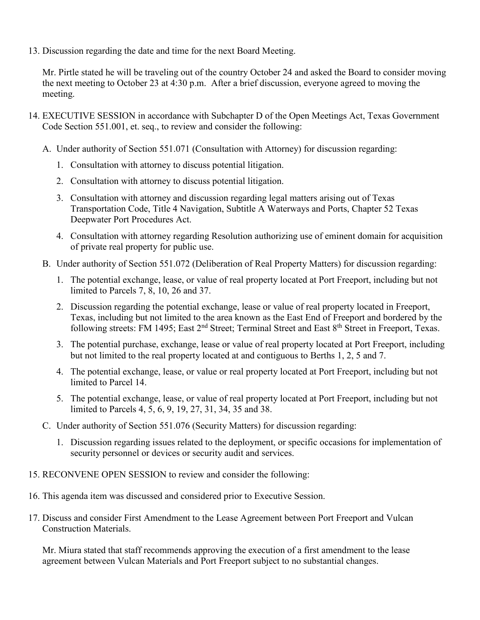13. Discussion regarding the date and time for the next Board Meeting.

Mr. Pirtle stated he will be traveling out of the country October 24 and asked the Board to consider moving the next meeting to October 23 at 4:30 p.m. After a brief discussion, everyone agreed to moving the meeting.

- 14. EXECUTIVE SESSION in accordance with Subchapter D of the Open Meetings Act, Texas Government Code Section 551.001, et. seq., to review and consider the following:
	- A. Under authority of Section 551.071 (Consultation with Attorney) for discussion regarding:
		- 1. Consultation with attorney to discuss potential litigation.
		- 2. Consultation with attorney to discuss potential litigation.
		- 3. Consultation with attorney and discussion regarding legal matters arising out of Texas Transportation Code, Title 4 Navigation, Subtitle A Waterways and Ports, Chapter 52 Texas Deepwater Port Procedures Act.
		- 4. Consultation with attorney regarding Resolution authorizing use of eminent domain for acquisition of private real property for public use.
	- B. Under authority of Section 551.072 (Deliberation of Real Property Matters) for discussion regarding:
		- 1. The potential exchange, lease, or value of real property located at Port Freeport, including but not limited to Parcels 7, 8, 10, 26 and 37.
		- 2. Discussion regarding the potential exchange, lease or value of real property located in Freeport, Texas, including but not limited to the area known as the East End of Freeport and bordered by the following streets: FM 1495; East 2<sup>nd</sup> Street; Terminal Street and East 8<sup>th</sup> Street in Freeport, Texas.
		- 3. The potential purchase, exchange, lease or value of real property located at Port Freeport, including but not limited to the real property located at and contiguous to Berths 1, 2, 5 and 7.
		- 4. The potential exchange, lease, or value or real property located at Port Freeport, including but not limited to Parcel 14.
		- 5. The potential exchange, lease, or value of real property located at Port Freeport, including but not limited to Parcels 4, 5, 6, 9, 19, 27, 31, 34, 35 and 38.
	- C. Under authority of Section 551.076 (Security Matters) for discussion regarding:
		- 1. Discussion regarding issues related to the deployment, or specific occasions for implementation of security personnel or devices or security audit and services.
- 15. RECONVENE OPEN SESSION to review and consider the following:
- 16. This agenda item was discussed and considered prior to Executive Session.
- 17. Discuss and consider First Amendment to the Lease Agreement between Port Freeport and Vulcan Construction Materials.

Mr. Miura stated that staff recommends approving the execution of a first amendment to the lease agreement between Vulcan Materials and Port Freeport subject to no substantial changes.